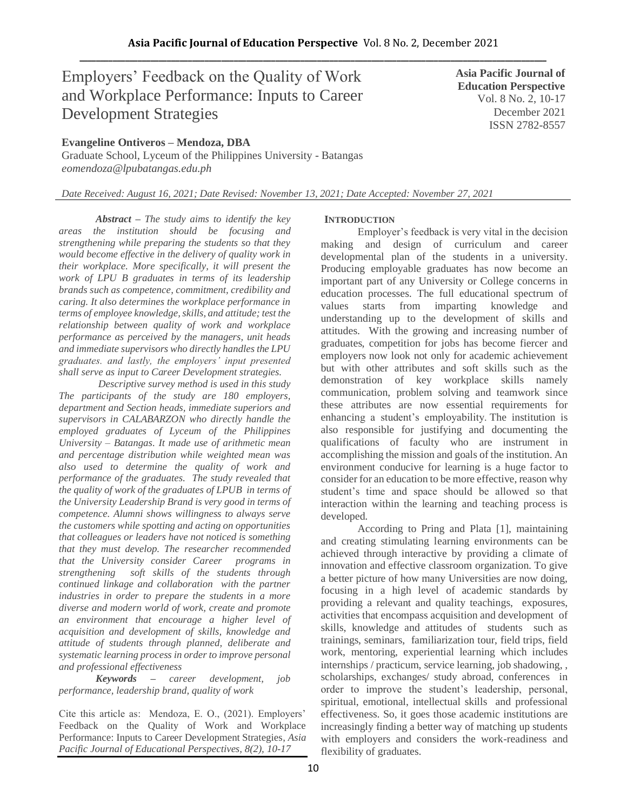# Employers' Feedback on the Quality of Work and Workplace Performance: Inputs to Career Development Strategies

**Evangeline Ontiveros – Mendoza, DBA**

Graduate School, Lyceum of the Philippines University - Batangas *eomendoza@lpubatangas.edu.ph*

**Asia Pacific Journal of Education Perspective**  Vol. 8 No. 2, 10-17 December 2021 ISSN 2782-8557

*Date Received: August 16, 2021; Date Revised: November 13, 2021; Date Accepted: November 27, 2021*

*Abstract – The study aims to identify the key areas the institution should be focusing and strengthening while preparing the students so that they would become effective in the delivery of quality work in their workplace. More specifically, it will present the work of LPU B graduates in terms of its leadership brands such as competence, commitment, credibility and caring. It also determines the workplace performance in terms of employee knowledge, skills, and attitude; test the relationship between quality of work and workplace performance as perceived by the managers, unit heads and immediate supervisors who directly handles the LPU graduates. and lastly, the employers' input presented shall serve as input to Career Development strategies.* 

*Descriptive survey method is used in this study The participants of the study are 180 employers, department and Section heads, immediate superiors and supervisors in CALABARZON who directly handle the employed graduates of Lyceum of the Philippines University – Batangas. It made use of arithmetic mean and percentage distribution while weighted mean was also used to determine the quality of work and performance of the graduates. The study revealed that the quality of work of the graduates of LPUB in terms of the University Leadership Brand is very good in terms of competence. Alumni shows willingness to always serve the customers while spotting and acting on opportunities that colleagues or leaders have not noticed is something that they must develop. The researcher recommended that the University consider Career programs in strengthening soft skills of the students through continued linkage and collaboration with the partner industries in order to prepare the students in a more diverse and modern world of work, create and promote an environment that encourage a higher level of acquisition and development of skills, knowledge and attitude of students through planned, deliberate and systematic learning process in order to improve personal and professional effectiveness*

*Keywords – career development, job performance, leadership brand, quality of work*

Cite this article as: Mendoza, E. O., (2021). Employers' Feedback on the Quality of Work and Workplace Performance: Inputs to Career Development Strategies, *Asia Pacific Journal of Educational Perspectives, 8(2), 10-17*

# **INTRODUCTION**

Employer's feedback is very vital in the decision making and design of curriculum and career developmental plan of the students in a university. Producing employable graduates has now become an important part of any University or College concerns in education processes. The full educational spectrum of values starts from imparting knowledge and understanding up to the development of skills and attitudes. With the growing and increasing number of graduates, competition for jobs has become fiercer and employers now look not only for academic achievement but with other attributes and soft skills such as the demonstration of key workplace skills namely communication, problem solving and teamwork since these attributes are now essential requirements for enhancing a student's employability. The institution is also responsible for justifying and documenting the qualifications of faculty who are instrument in accomplishing the mission and goals of the institution. An environment conducive for learning is a huge factor to consider for an education to be more effective, reason why student's time and space should be allowed so that interaction within the learning and teaching process is developed.

According to Pring and Plata [1], maintaining and creating stimulating learning environments can be achieved through interactive by providing a climate of innovation and effective classroom organization. To give a better picture of how many Universities are now doing, focusing in a high level of academic standards by providing a relevant and quality teachings, exposures, activities that encompass acquisition and development of skills, knowledge and attitudes of students such as trainings, seminars, familiarization tour, field trips, field work, mentoring, experiential learning which includes internships / practicum, service learning, job shadowing, , scholarships, exchanges/ study abroad, conferences in order to improve the student's leadership, personal, spiritual, emotional, intellectual skills and professional effectiveness. So, it goes those academic institutions are increasingly finding a better way of matching up students with employers and considers the work-readiness and flexibility of graduates.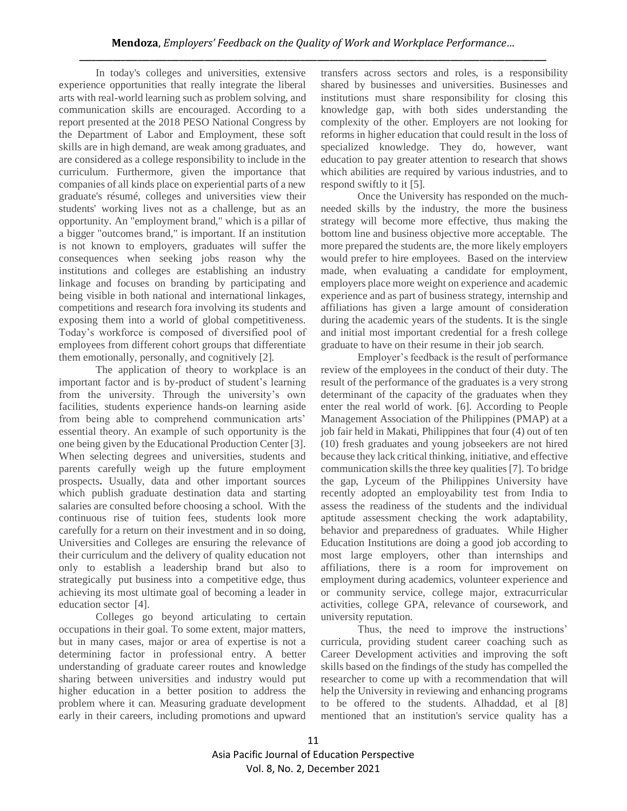In today's colleges and universities, extensive experience opportunities that really integrate the liberal arts with real-world learning such as problem solving, and communication skills are encouraged. According to a report presented at the 2018 PESO National Congress by the Department of Labor and Employment, these soft skills are in high demand, are weak among graduates, and are considered as a college responsibility to include in the curriculum. Furthermore, given the importance that companies of all kinds place on experiential parts of a new graduate's résumé, colleges and universities view their students' working lives not as a challenge, but as an opportunity. An "employment brand," which is a pillar of a bigger "outcomes brand," is important. If an institution is not known to employers, graduates will suffer the consequences when seeking jobs reason why the institutions and colleges are establishing an industry linkage and focuses on branding by participating and being visible in both national and international linkages, competitions and research fora involving its students and exposing them into a world of global competitiveness. Today's workforce is composed of diversified pool of employees from different cohort groups that differentiate them emotionally, personally, and cognitively [2].

The application of theory to workplace is an important factor and is by-product of student's learning from the university. Through the university's own facilities, students experience hands-on learning aside from being able to comprehend communication arts' essential theory. An example of such opportunity is the one being given by the Educational Production Center [3]. When selecting degrees and universities, students and parents carefully weigh up the future employment prospects**.** Usually, data and other important sources which publish graduate destination data and starting salaries are consulted before choosing a school. With the continuous rise of tuition fees, students look more carefully for a return on their investment and in so doing, Universities and Colleges are ensuring the relevance of their curriculum and the delivery of quality education not only to establish a leadership brand but also to strategically put business into a competitive edge, thus achieving its most ultimate goal of becoming a leader in education sector [4].

Colleges go beyond articulating to certain occupations in their goal. To some extent, major matters, but in many cases, major or area of expertise is not a determining factor in professional entry. A better understanding of graduate career routes and knowledge sharing between universities and industry would put higher education in a better position to address the problem where it can. Measuring graduate development early in their careers, including promotions and upward

transfers across sectors and roles, is a responsibility shared by businesses and universities. Businesses and institutions must share responsibility for closing this knowledge gap, with both sides understanding the complexity of the other. Employers are not looking for reforms in higher education that could result in the loss of specialized knowledge. They do, however, want education to pay greater attention to research that shows which abilities are required by various industries, and to respond swiftly to it [5].

Once the University has responded on the muchneeded skills by the industry, the more the business strategy will become more effective, thus making the bottom line and business objective more acceptable. The more prepared the students are, the more likely employers would prefer to hire employees. Based on the interview made, when evaluating a candidate for employment, employers place more weight on experience and academic experience and as part of business strategy, internship and affiliations has given a large amount of consideration during the academic years of the students. It is the single and initial most important credential for a fresh college graduate to have on their resume in their job search.

Employer's feedback is the result of performance review of the employees in the conduct of their duty. The result of the performance of the graduates is a very strong determinant of the capacity of the graduates when they enter the real world of work. [6]. According to People Management Association of the Philippines (PMAP) at a job fair held in Makati, Philippines that four (4) out of ten (10) fresh graduates and young jobseekers are not hired because they lack critical thinking, initiative, and effective communication skills the three key qualities [7]. To bridge the gap, Lyceum of the Philippines University have recently adopted an employability test from India to assess the readiness of the students and the individual aptitude assessment checking the work adaptability, behavior and preparedness of graduates. While Higher Education Institutions are doing a good job according to most large employers, other than internships and affiliations, there is a room for improvement on employment during academics, volunteer experience and or community service, college major, extracurricular activities, college GPA, relevance of coursework, and university reputation.

Thus, the need to improve the instructions' curricula, providing student career coaching such as Career Development activities and improving the soft skills based on the findings of the study has compelled the researcher to come up with a recommendation that will help the University in reviewing and enhancing programs to be offered to the students. Alhaddad, et al [8] mentioned that an institution's service quality has a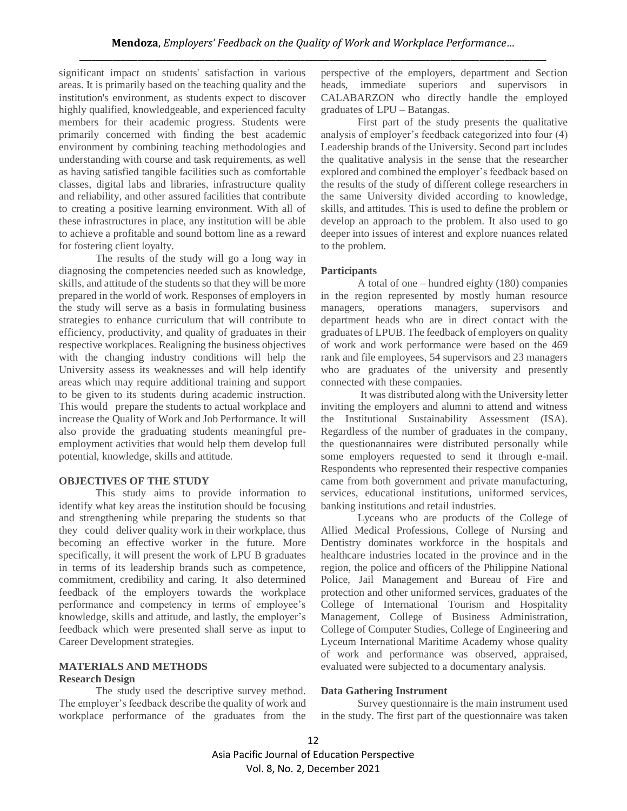significant impact on students' satisfaction in various areas. It is primarily based on the teaching quality and the institution's environment, as students expect to discover highly qualified, knowledgeable, and experienced faculty members for their academic progress. Students were primarily concerned with finding the best academic environment by combining teaching methodologies and understanding with course and task requirements, as well as having satisfied tangible facilities such as comfortable classes, digital labs and libraries, infrastructure quality and reliability, and other assured facilities that contribute to creating a positive learning environment. With all of these infrastructures in place, any institution will be able to achieve a profitable and sound bottom line as a reward for fostering client loyalty.

The results of the study will go a long way in diagnosing the competencies needed such as knowledge, skills, and attitude of the students so that they will be more prepared in the world of work. Responses of employers in the study will serve as a basis in formulating business strategies to enhance curriculum that will contribute to efficiency, productivity, and quality of graduates in their respective workplaces. Realigning the business objectives with the changing industry conditions will help the University assess its weaknesses and will help identify areas which may require additional training and support to be given to its students during academic instruction. This would prepare the students to actual workplace and increase the Quality of Work and Job Performance. It will also provide the graduating students meaningful preemployment activities that would help them develop full potential, knowledge, skills and attitude.

#### **OBJECTIVES OF THE STUDY**

This study aims to provide information to identify what key areas the institution should be focusing and strengthening while preparing the students so that they could deliver quality work in their workplace, thus becoming an effective worker in the future. More specifically, it will present the work of LPU B graduates in terms of its leadership brands such as competence, commitment, credibility and caring. It also determined feedback of the employers towards the workplace performance and competency in terms of employee's knowledge, skills and attitude, and lastly, the employer's feedback which were presented shall serve as input to Career Development strategies.

# **MATERIALS AND METHODS**

#### **Research Design**

The study used the descriptive survey method. The employer's feedback describe the quality of work and workplace performance of the graduates from the perspective of the employers, department and Section heads, immediate superiors and supervisors in CALABARZON who directly handle the employed graduates of LPU – Batangas.

First part of the study presents the qualitative analysis of employer's feedback categorized into four (4) Leadership brands of the University. Second part includes the qualitative analysis in the sense that the researcher explored and combined the employer's feedback based on the results of the study of different college researchers in the same University divided according to knowledge, skills, and attitudes. This is used to define the problem or develop an approach to the problem. It also used to go deeper into issues of interest and explore nuances related to the problem.

#### **Participants**

A total of one – hundred eighty (180) companies in the region represented by mostly human resource managers, operations managers, supervisors and department heads who are in direct contact with the graduates of LPUB. The feedback of employers on quality of work and work performance were based on the 469 rank and file employees, 54 supervisors and 23 managers who are graduates of the university and presently connected with these companies.

It was distributed along with the University letter inviting the employers and alumni to attend and witness the Institutional Sustainability Assessment (ISA). Regardless of the number of graduates in the company, the questionannaires were distributed personally while some employers requested to send it through e-mail. Respondents who represented their respective companies came from both government and private manufacturing, services, educational institutions, uniformed services, banking institutions and retail industries.

Lyceans who are products of the College of Allied Medical Professions, College of Nursing and Dentistry dominates workforce in the hospitals and healthcare industries located in the province and in the region, the police and officers of the Philippine National Police, Jail Management and Bureau of Fire and protection and other uniformed services, graduates of the College of International Tourism and Hospitality Management, College of Business Administration, College of Computer Studies, College of Engineering and Lyceum International Maritime Academy whose quality of work and performance was observed, appraised, evaluated were subjected to a documentary analysis.

#### **Data Gathering Instrument**

Survey questionnaire is the main instrument used in the study. The first part of the questionnaire was taken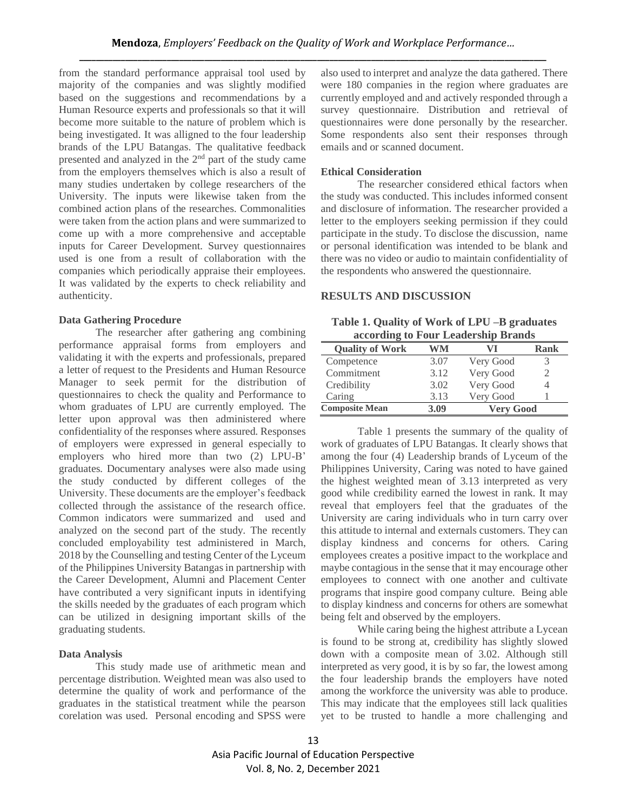from the standard performance appraisal tool used by majority of the companies and was slightly modified based on the suggestions and recommendations by a Human Resource experts and professionals so that it will become more suitable to the nature of problem which is being investigated. It was alligned to the four leadership brands of the LPU Batangas. The qualitative feedback presented and analyzed in the 2nd part of the study came from the employers themselves which is also a result of many studies undertaken by college researchers of the University. The inputs were likewise taken from the combined action plans of the researches. Commonalities were taken from the action plans and were summarized to come up with a more comprehensive and acceptable inputs for Career Development. Survey questionnaires used is one from a result of collaboration with the companies which periodically appraise their employees. It was validated by the experts to check reliability and authenticity.

#### **Data Gathering Procedure**

The researcher after gathering ang combining performance appraisal forms from employers and validating it with the experts and professionals, prepared a letter of request to the Presidents and Human Resource Manager to seek permit for the distribution of questionnaires to check the quality and Performance to whom graduates of LPU are currently employed. The letter upon approval was then administered where confidentiality of the responses where assured. Responses of employers were expressed in general especially to employers who hired more than two (2) LPU-B' graduates. Documentary analyses were also made using the study conducted by different colleges of the University. These documents are the employer's feedback collected through the assistance of the research office. Common indicators were summarized and used and analyzed on the second part of the study. The recently concluded employability test administered in March, 2018 by the Counselling and testing Center of the Lyceum of the Philippines University Batangas in partnership with the Career Development, Alumni and Placement Center have contributed a very significant inputs in identifying the skills needed by the graduates of each program which can be utilized in designing important skills of the graduating students.

### **Data Analysis**

This study made use of arithmetic mean and percentage distribution. Weighted mean was also used to determine the quality of work and performance of the graduates in the statistical treatment while the pearson corelation was used. Personal encoding and SPSS were

also used to interpret and analyze the data gathered. There were 180 companies in the region where graduates are currently employed and and actively responded through a survey questionnaire. Distribution and retrieval of questionnaires were done personally by the researcher. Some respondents also sent their responses through emails and or scanned document.

#### **Ethical Consideration**

The researcher considered ethical factors when the study was conducted. This includes informed consent and disclosure of information. The researcher provided a letter to the employers seeking permission if they could participate in the study. To disclose the discussion, name or personal identification was intended to be blank and there was no video or audio to maintain confidentiality of the respondents who answered the questionnaire.

# **RESULTS AND DISCUSSION**

| Table 1. Quality of Work of LPU -B graduates |
|----------------------------------------------|
| according to Four Leadership Brands          |

| <b>Quality of Work</b> | WM   | V I              | Rank |
|------------------------|------|------------------|------|
| Competence             | 3.07 | Very Good        | 3    |
| Commitment             | 3.12 | Very Good        |      |
| Credibility            | 3.02 | Very Good        |      |
| Caring                 | 3.13 | Very Good        |      |
| <b>Composite Mean</b>  | 3.09 | <b>Very Good</b> |      |

Table 1 presents the summary of the quality of work of graduates of LPU Batangas. It clearly shows that among the four (4) Leadership brands of Lyceum of the Philippines University, Caring was noted to have gained the highest weighted mean of 3.13 interpreted as very good while credibility earned the lowest in rank. It may reveal that employers feel that the graduates of the University are caring individuals who in turn carry over this attitude to internal and externals customers. They can display kindness and concerns for others. Caring employees creates a positive impact to the workplace and maybe contagious in the sense that it may encourage other employees to connect with one another and cultivate programs that inspire good company culture. Being able to display kindness and concerns for others are somewhat being felt and observed by the employers.

While caring being the highest attribute a Lycean is found to be strong at, credibility has slightly slowed down with a composite mean of 3.02. Although still interpreted as very good, it is by so far, the lowest among the four leadership brands the employers have noted among the workforce the university was able to produce. This may indicate that the employees still lack qualities yet to be trusted to handle a more challenging and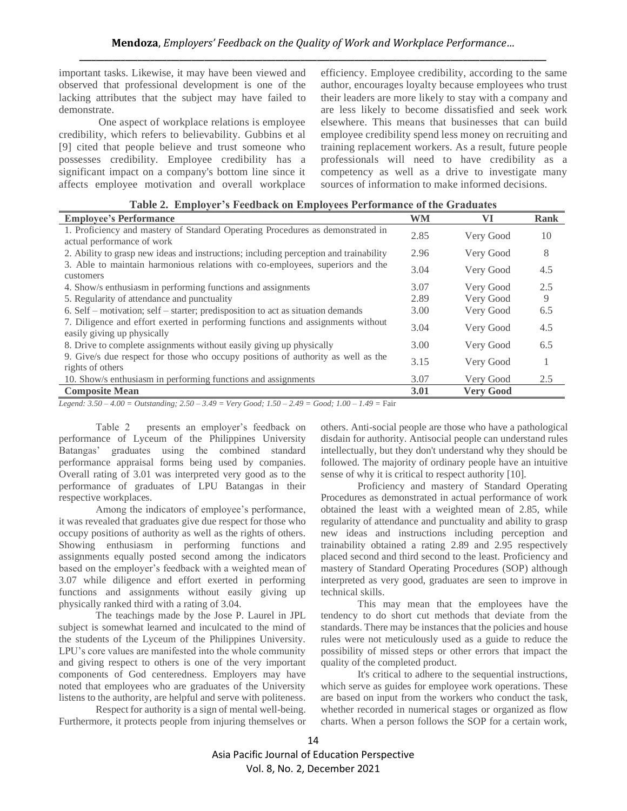important tasks. Likewise, it may have been viewed and observed that professional development is one of the lacking attributes that the subject may have failed to demonstrate.

One aspect of workplace relations is employee credibility, which refers to believability. Gubbins et al [9] cited that people believe and trust someone who possesses credibility. Employee credibility has a significant impact on a company's bottom line since it affects employee motivation and overall workplace efficiency. Employee credibility, according to the same author, encourages loyalty because employees who trust their leaders are more likely to stay with a company and are less likely to become dissatisfied and seek work elsewhere. This means that businesses that can build employee credibility spend less money on recruiting and training replacement workers. As a result, future people professionals will need to have credibility as a competency as well as a drive to investigate many sources of information to make informed decisions.

| <b>Employee's Performance</b>                                                                                  | <b>WM</b> | VI               | <b>Rank</b> |
|----------------------------------------------------------------------------------------------------------------|-----------|------------------|-------------|
| 1. Proficiency and mastery of Standard Operating Procedures as demonstrated in<br>actual performance of work   | 2.85      | Very Good        | 10          |
| 2. Ability to grasp new ideas and instructions; including perception and trainability                          | 2.96      | Very Good        | 8           |
| 3. Able to maintain harmonious relations with co-employees, superiors and the<br>customers                     | 3.04      | Very Good        | 4.5         |
| 4. Show/s enthusiasm in performing functions and assignments                                                   | 3.07      | Very Good        | 2.5         |
| 5. Regularity of attendance and punctuality                                                                    | 2.89      | Very Good        | 9           |
| 6. Self – motivation; self – starter; predisposition to act as situation demands                               | 3.00      | Very Good        | 6.5         |
| 7. Diligence and effort exerted in performing functions and assignments without<br>easily giving up physically | 3.04      | Very Good        | 4.5         |
| 8. Drive to complete assignments without easily giving up physically                                           | 3.00      | Very Good        | 6.5         |
| 9. Give/s due respect for those who occupy positions of authority as well as the<br>rights of others           | 3.15      | Very Good        |             |
| 10. Show/s enthusiasm in performing functions and assignments                                                  | 3.07      | Very Good        | 2.5         |
| <b>Composite Mean</b>                                                                                          | 3.01      | <b>Very Good</b> |             |

**Table 2. Employer's Feedback on Employees Performance of the Graduates**

*Legend: 3.50 – 4.00 = Outstanding; 2.50 – 3.49 = Very Good; 1.50 – 2.49 = Good; 1.00 – 1.49 =* Fair

Table 2 presents an employer's feedback on performance of Lyceum of the Philippines University Batangas' graduates using the combined standard performance appraisal forms being used by companies. Overall rating of 3.01 was interpreted very good as to the performance of graduates of LPU Batangas in their respective workplaces.

Among the indicators of employee's performance, it was revealed that graduates give due respect for those who occupy positions of authority as well as the rights of others. Showing enthusiasm in performing functions and assignments equally posted second among the indicators based on the employer's feedback with a weighted mean of 3.07 while diligence and effort exerted in performing functions and assignments without easily giving up physically ranked third with a rating of 3.04.

The teachings made by the Jose P. Laurel in JPL subject is somewhat learned and inculcated to the mind of the students of the Lyceum of the Philippines University. LPU's core values are manifested into the whole community and giving respect to others is one of the very important components of God centeredness. Employers may have noted that employees who are graduates of the University listens to the authority, are helpful and serve with politeness.

Respect for authority is a sign of mental well-being. Furthermore, it protects people from injuring themselves or others. Anti-social people are those who have a pathological disdain for authority. Antisocial people can understand rules intellectually, but they don't understand why they should be followed. The majority of ordinary people have an intuitive sense of why it is critical to respect authority [10].

Proficiency and mastery of Standard Operating Procedures as demonstrated in actual performance of work obtained the least with a weighted mean of 2.85, while regularity of attendance and punctuality and ability to grasp new ideas and instructions including perception and trainability obtained a rating 2.89 and 2.95 respectively placed second and third second to the least. Proficiency and mastery of Standard Operating Procedures (SOP) although interpreted as very good, graduates are seen to improve in technical skills.

This may mean that the employees have the tendency to do short cut methods that deviate from the standards. There may be instances that the policies and house rules were not meticulously used as a guide to reduce the possibility of missed steps or other errors that impact the quality of the completed product.

It's critical to adhere to the sequential instructions, which serve as guides for employee work operations. These are based on input from the workers who conduct the task, whether recorded in numerical stages or organized as flow charts. When a person follows the SOP for a certain work,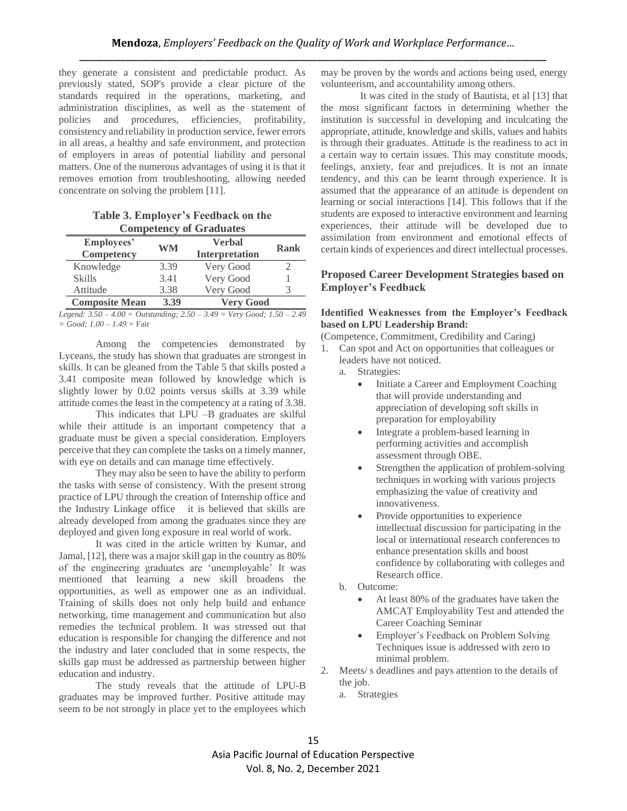they generate a consistent and predictable product. As previously stated, SOP's provide a clear picture of the standards required in the operations, marketing, and administration disciplines, as well as the statement of policies and procedures, efficiencies, profitability, consistency and reliability in production service, fewer errors in all areas, a healthy and safe environment, and protection of employers in areas of potential liability and personal matters. One of the numerous advantages of using it is that it removes emotion from troubleshooting, allowing needed concentrate on solving the problem [11].

| Table 3. Employer's Feedback on the |  |
|-------------------------------------|--|
| <b>Competency of Graduates</b>      |  |

| Employees'<br>Competency | WM   | Verbal<br><b>Interpretation</b> | Rank |  |  |
|--------------------------|------|---------------------------------|------|--|--|
| Knowledge                | 3.39 | Very Good                       |      |  |  |
| <b>Skills</b>            | 3.41 | Very Good                       |      |  |  |
| Attitude                 | 3.38 | Very Good                       |      |  |  |
| <b>Composite Mean</b>    | 3.39 | <b>Very Good</b>                |      |  |  |

*Legend: 3.50 – 4.00 = Outstanding; 2.50 – 3.49 = Very Good; 1.50 – 2.49 = Good; 1.00 – 1.49 =* Fair

Among the competencies demonstrated by Lyceans, the study has shown that graduates are strongest in skills. It can be gleaned from the Table 5 that skills posted a 3.41 composite mean followed by knowledge which is slightly lower by 0.02 points versus skills at 3.39 while attitude comes the least in the competency at a rating of 3.38.

This indicates that LPU -B graduates are skilful while their attitude is an important competency that a graduate must be given a special consideration. Employers perceive that they can complete the tasks on a timely manner, with eye on details and can manage time effectively.

They may also be seen to have the ability to perform the tasks with sense of consistency. With the present strong practice of LPU through the creation of Internship office and the Industry Linkage office it is believed that skills are already developed from among the graduates since they are deployed and given long exposure in real world of work.

It was cited in the article written by Kumar, and Jamal, [12], there was a major skill gap in the country as 80% of the engineering graduates are 'unemployable' It was mentioned that learning a new skill broadens the opportunities, as well as empower one as an individual. Training of skills does not only help build and enhance networking, time management and communication but also remedies the technical problem. It was stressed out that education is responsible for changing the difference and not the industry and later concluded that in some respects, the skills gap must be addressed as partnership between higher education and industry.

The study reveals that the attitude of LPU-B graduates may be improved further. Positive attitude may seem to be not strongly in place yet to the employees which

may be proven by the words and actions being used, energy volunteerism, and accountability among others.

It was cited in the study of Bautista, et al [13] that the most significant factors in determining whether the institution is successful in developing and inculcating the appropriate, attitude, knowledge and skills, values and habits is through their graduates. Attitude is the readiness to act in a certain way to certain issues. This may constitute moods, feelings, anxiety, fear and prejudices. It is not an innate tendency, and this can be learnt through experience. It is assumed that the appearance of an attitude is dependent on learning or social interactions [14]. This follows that if the students are exposed to interactive environment and learning experiences, their attitude will be developed due to assimilation from environment and emotional effects of certain kinds of experiences and direct intellectual processes.

# **Proposed Career Development Strategies based on Employer's Feedback**

### **Identified Weaknesses from the Employer's Feedback based on LPU Leadership Brand:**

(Competence, Commitment, Credibility and Caring)

- 1. Can spot and Act on opportunities that colleagues or leaders have not noticed.
	- a. Strategies:
		- Initiate a Career and Employment Coaching that will provide understanding and appreciation of developing soft skills in preparation for employability
		- Integrate a problem-based learning in performing activities and accomplish assessment through OBE.
		- Strengthen the application of problem-solving techniques in working with various projects emphasizing the value of creativity and innovativeness.
		- Provide opportunities to experience intellectual discussion for participating in the local or international research conferences to enhance presentation skills and boost confidence by collaborating with colleges and Research office.
	- b. Outcome:
		- At least 80% of the graduates have taken the AMCAT Employability Test and attended the Career Coaching Seminar
		- Employer's Feedback on Problem Solving Techniques issue is addressed with zero to minimal problem.
- 2. Meets/ s deadlines and pays attention to the details of the job.
	- a. Strategies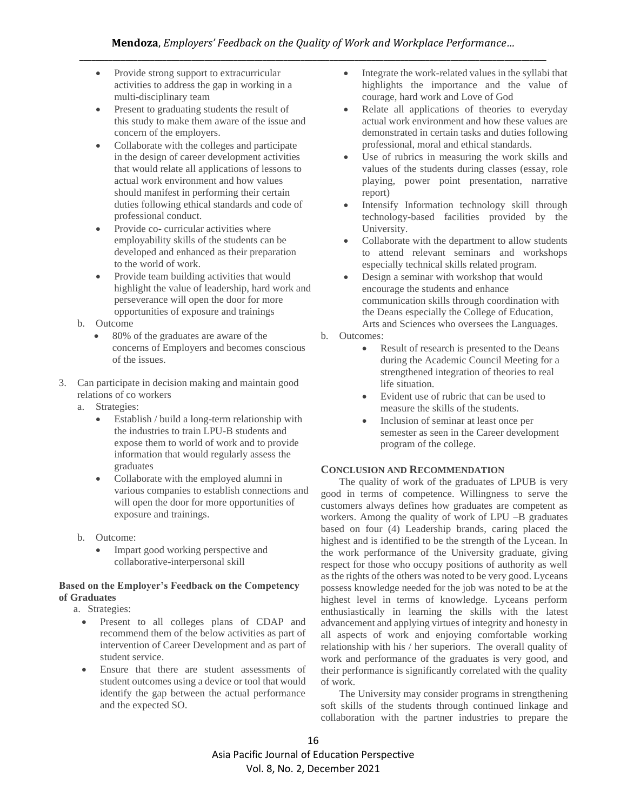- Provide strong support to extracurricular activities to address the gap in working in a multi-disciplinary team
- Present to graduating students the result of this study to make them aware of the issue and concern of the employers.
- Collaborate with the colleges and participate in the design of career development activities that would relate all applications of lessons to actual work environment and how values should manifest in performing their certain duties following ethical standards and code of professional conduct.
- Provide co- curricular activities where employability skills of the students can be developed and enhanced as their preparation to the world of work.
- Provide team building activities that would highlight the value of leadership, hard work and perseverance will open the door for more opportunities of exposure and trainings
- b. Outcome
	- 80% of the graduates are aware of the concerns of Employers and becomes conscious of the issues.
- 3. Can participate in decision making and maintain good relations of co workers
	- a. Strategies:
		- Establish / build a long-term relationship with the industries to train LPU-B students and expose them to world of work and to provide information that would regularly assess the graduates
		- Collaborate with the employed alumni in various companies to establish connections and will open the door for more opportunities of exposure and trainings.
	- b. Outcome:
		- Impart good working perspective and collaborative-interpersonal skill

# **Based on the Employer's Feedback on the Competency of Graduates**

a. Strategies:

- Present to all colleges plans of CDAP and recommend them of the below activities as part of intervention of Career Development and as part of student service.
- Ensure that there are student assessments of student outcomes using a device or tool that would identify the gap between the actual performance and the expected SO.
- Integrate the work-related values in the syllabi that highlights the importance and the value of courage, hard work and Love of God
- Relate all applications of theories to everyday actual work environment and how these values are demonstrated in certain tasks and duties following professional, moral and ethical standards.
- Use of rubrics in measuring the work skills and values of the students during classes (essay, role playing, power point presentation, narrative report)
- Intensify Information technology skill through technology-based facilities provided by the University.
- Collaborate with the department to allow students to attend relevant seminars and workshops especially technical skills related program.
- Design a seminar with workshop that would encourage the students and enhance communication skills through coordination with the Deans especially the College of Education, Arts and Sciences who oversees the Languages.
- b. Outcomes:
	- Result of research is presented to the Deans during the Academic Council Meeting for a strengthened integration of theories to real life situation.
	- Evident use of rubric that can be used to measure the skills of the students.
	- Inclusion of seminar at least once per semester as seen in the Career development program of the college.

# **CONCLUSION AND RECOMMENDATION**

The quality of work of the graduates of LPUB is very good in terms of competence. Willingness to serve the customers always defines how graduates are competent as workers. Among the quality of work of LPU –B graduates based on four (4) Leadership brands, caring placed the highest and is identified to be the strength of the Lycean. In the work performance of the University graduate, giving respect for those who occupy positions of authority as well as the rights of the others was noted to be very good. Lyceans possess knowledge needed for the job was noted to be at the highest level in terms of knowledge. Lyceans perform enthusiastically in learning the skills with the latest advancement and applying virtues of integrity and honesty in all aspects of work and enjoying comfortable working relationship with his / her superiors. The overall quality of work and performance of the graduates is very good, and their performance is significantly correlated with the quality of work.

The University may consider programs in strengthening soft skills of the students through continued linkage and collaboration with the partner industries to prepare the

Asia Pacific Journal of Education Perspective Vol. 8, No. 2, December 2021